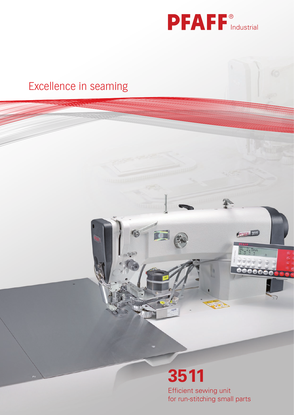

# Excellence in seaming Industrial Industrial Industrial Industrial Industrial Industrial Industrial Industrial Excellence in seaming Industrial Contract in the Industrial Contract of the Industrial Contract of the Industrial Contract of the Industrial Contract of the Industrial Contract of the Industrial Contract of the Industrial

**3511**

直面

 $\mathbb{Q}^{(p)}$ 

Efficient sewing unit for run-stitching small parts

PEARE 3511

 $\frac{5L}{3}$ ,  $\frac{2.5mm}{3}$ 

**OOOOOO**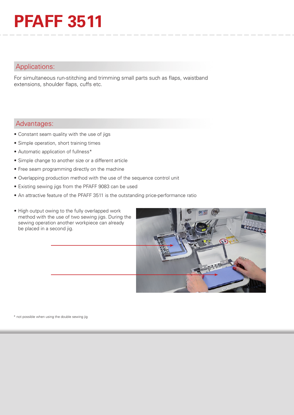# **PFAFF 3511**

## Applications:

For simultaneous run-stitching and trimming small parts such as flaps, waistband extensions, shoulder flaps, cuffs etc.

### Advantages:

- Constant seam quality with the use of jigs
- Simple operation, short training times
- Automatic application of fullness\*
- Simple change to another size or a different article
- Free seam programming directly on the machine
- Overlapping production method with the use of the sequence control unit
- Existing sewing jigs from the PFAFF 9083 can be used
- An attractive feature of the PFAFF 3511 is the outstanding price-performance ratio
- High output owing to the fully overlapped work method with the use of two sewing jigs. During the sewing operation another workpiece can already be placed in a second jig.



\* not possible when using the double sewing jig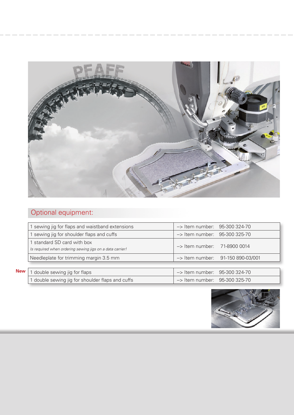

# Optional equipment:

| 1 sewing jig for flaps and waistband extensions                                         | -> Item number: 95-300 324-70            |
|-----------------------------------------------------------------------------------------|------------------------------------------|
| 1 sewing jig for shoulder flaps and cuffs                                               | $\rightarrow$ Item number: 95-300 325-70 |
| 1 standard SD card with box<br>Is required when ordering sewing jigs on a data carrier! | $\rightarrow$ Item number: 71-8900 0014  |
| Needleplate for trimming margin 3.5 mm                                                  | -> Item number: 91-150 890-03/001        |
|                                                                                         |                                          |
| 1 double sewing jig for flaps                                                           | $\rightarrow$ Item number: 95-300 324-70 |